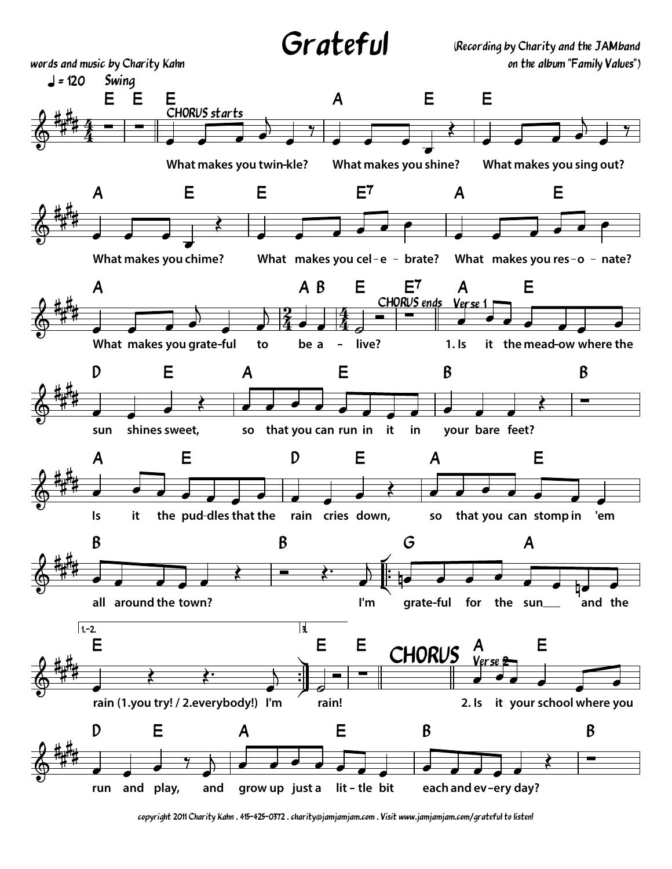

words and music by Charity Kahn

(Recording by Charity and the JAMband on the album "Family Values")



copyright 2011 Charity Kahn . 415-425-0372 . charity@jamjamjam.com . Visit www.jamjamjam.com/grateful to listen!